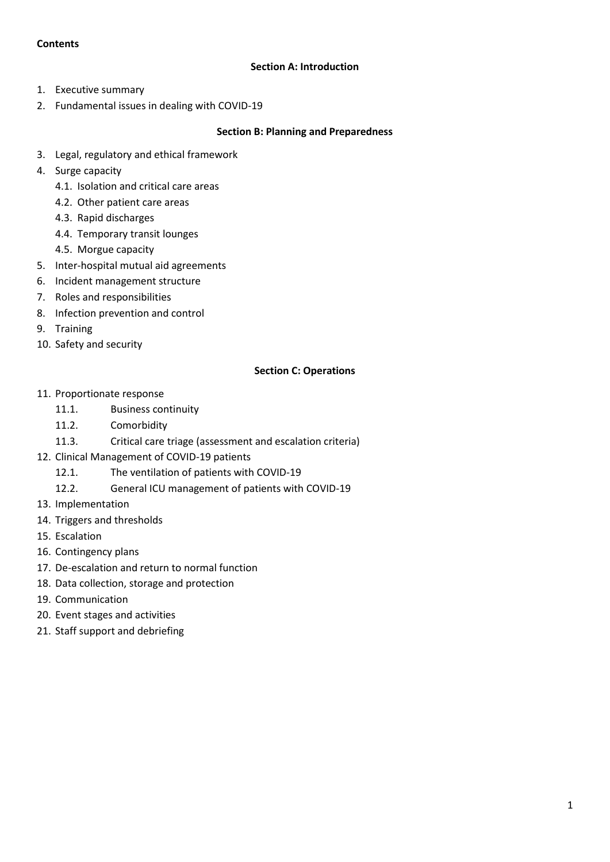## **Contents**

### **Section A: Introduction**

- 1. Executive summary
- 2. Fundamental issues in dealing with COVID-19

#### **Section B: Planning and Preparedness**

- 3. Legal, regulatory and ethical framework
- 4. Surge capacity
	- 4.1. Isolation and critical care areas
	- 4.2. Other patient care areas
	- 4.3. Rapid discharges
	- 4.4. Temporary transit lounges
	- 4.5. Morgue capacity
- 5. Inter-hospital mutual aid agreements
- 6. Incident management structure
- 7. Roles and responsibilities
- 8. Infection prevention and control
- 9. Training
- 10. Safety and security

## **Section C: Operations**

- 11. Proportionate response
	- 11.1. Business continuity
	- 11.2. Comorbidity
	- 11.3. Critical care triage (assessment and escalation criteria)
- 12. Clinical Management of COVID-19 patients
	- 12.1. The ventilation of patients with COVID-19
	- 12.2. General ICU management of patients with COVID-19
- 13. Implementation
- 14. Triggers and thresholds
- 15. Escalation
- 16. Contingency plans
- 17. De-escalation and return to normal function
- 18. Data collection, storage and protection
- 19. Communication
- 20. Event stages and activities
- 21. Staff support and debriefing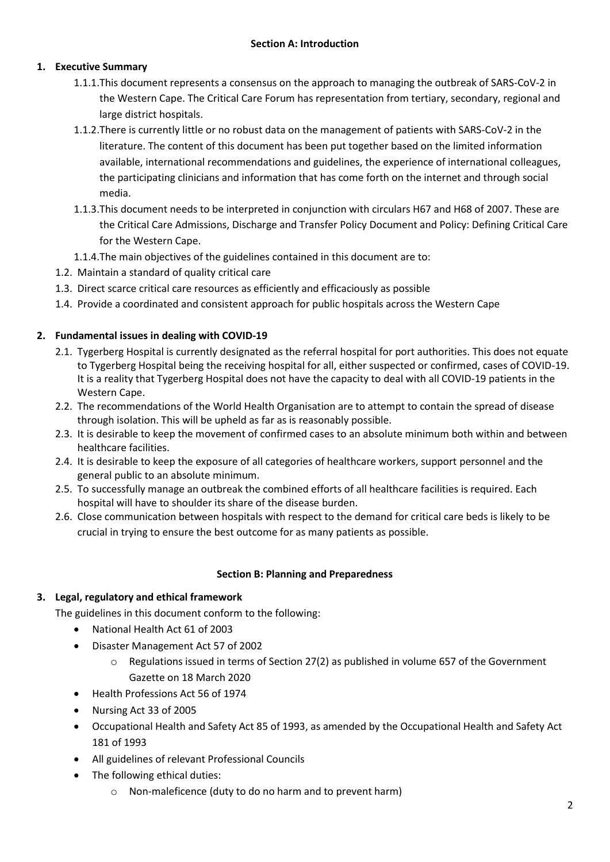## **1. Executive Summary**

- 1.1.1.This document represents a consensus on the approach to managing the outbreak of SARS-CoV-2 in the Western Cape. The Critical Care Forum has representation from tertiary, secondary, regional and large district hospitals.
- 1.1.2.There is currently little or no robust data on the management of patients with SARS-CoV-2 in the literature. The content of this document has been put together based on the limited information available, international recommendations and guidelines, the experience of international colleagues, the participating clinicians and information that has come forth on the internet and through social media.
- 1.1.3.This document needs to be interpreted in conjunction with circulars H67 and H68 of 2007. These are the Critical Care Admissions, Discharge and Transfer Policy Document and Policy: Defining Critical Care for the Western Cape.
- 1.1.4.The main objectives of the guidelines contained in this document are to:
- 1.2. Maintain a standard of quality critical care
- 1.3. Direct scarce critical care resources as efficiently and efficaciously as possible
- 1.4. Provide a coordinated and consistent approach for public hospitals across the Western Cape

## **2. Fundamental issues in dealing with COVID-19**

- 2.1. Tygerberg Hospital is currently designated as the referral hospital for port authorities. This does not equate to Tygerberg Hospital being the receiving hospital for all, either suspected or confirmed, cases of COVID-19. It is a reality that Tygerberg Hospital does not have the capacity to deal with all COVID-19 patients in the Western Cape.
- 2.2. The recommendations of the World Health Organisation are to attempt to contain the spread of disease through isolation. This will be upheld as far as is reasonably possible.
- 2.3. It is desirable to keep the movement of confirmed cases to an absolute minimum both within and between healthcare facilities.
- 2.4. It is desirable to keep the exposure of all categories of healthcare workers, support personnel and the general public to an absolute minimum.
- 2.5. To successfully manage an outbreak the combined efforts of all healthcare facilities is required. Each hospital will have to shoulder its share of the disease burden.
- 2.6. Close communication between hospitals with respect to the demand for critical care beds is likely to be crucial in trying to ensure the best outcome for as many patients as possible.

#### **Section B: Planning and Preparedness**

## **3. Legal, regulatory and ethical framework**

The guidelines in this document conform to the following:

- National Health Act 61 of 2003
- Disaster Management Act 57 of 2002
	- $\circ$  Regulations issued in terms of Section 27(2) as published in volume 657 of the Government Gazette on 18 March 2020
- Health Professions Act 56 of 1974
- Nursing Act 33 of 2005
- Occupational Health and Safety Act 85 of 1993, as amended by the Occupational Health and Safety Act 181 of 1993
- All guidelines of relevant Professional Councils
- The following ethical duties:
	- o Non-maleficence (duty to do no harm and to prevent harm)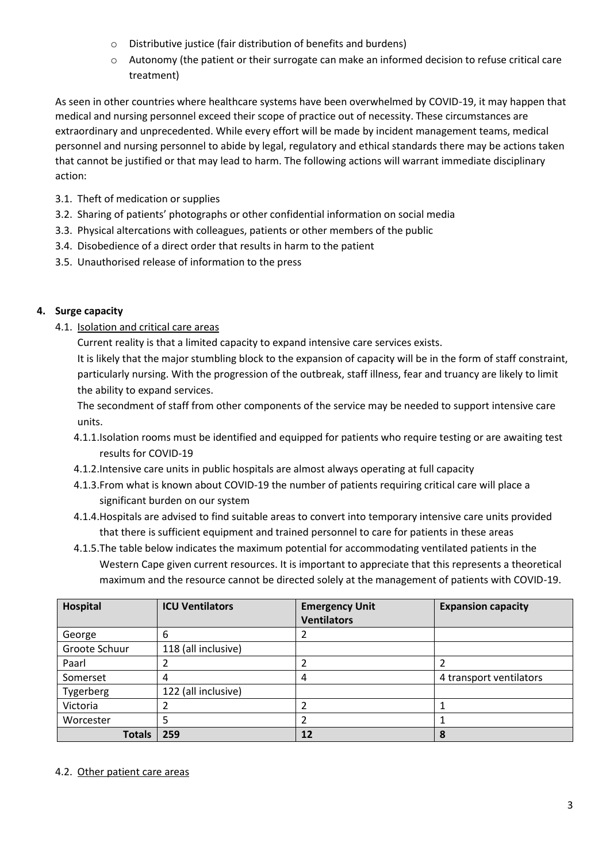- o Distributive justice (fair distribution of benefits and burdens)
- o Autonomy (the patient or their surrogate can make an informed decision to refuse critical care treatment)

As seen in other countries where healthcare systems have been overwhelmed by COVID-19, it may happen that medical and nursing personnel exceed their scope of practice out of necessity. These circumstances are extraordinary and unprecedented. While every effort will be made by incident management teams, medical personnel and nursing personnel to abide by legal, regulatory and ethical standards there may be actions taken that cannot be justified or that may lead to harm. The following actions will warrant immediate disciplinary action:

- 3.1. Theft of medication or supplies
- 3.2. Sharing of patients' photographs or other confidential information on social media
- 3.3. Physical altercations with colleagues, patients or other members of the public
- 3.4. Disobedience of a direct order that results in harm to the patient
- 3.5. Unauthorised release of information to the press

# **4. Surge capacity**

4.1. Isolation and critical care areas

Current reality is that a limited capacity to expand intensive care services exists.

It is likely that the major stumbling block to the expansion of capacity will be in the form of staff constraint, particularly nursing. With the progression of the outbreak, staff illness, fear and truancy are likely to limit the ability to expand services.

The secondment of staff from other components of the service may be needed to support intensive care units.

- 4.1.1.Isolation rooms must be identified and equipped for patients who require testing or are awaiting test results for COVID-19
- 4.1.2.Intensive care units in public hospitals are almost always operating at full capacity
- 4.1.3.From what is known about COVID-19 the number of patients requiring critical care will place a significant burden on our system
- 4.1.4.Hospitals are advised to find suitable areas to convert into temporary intensive care units provided that there is sufficient equipment and trained personnel to care for patients in these areas
- 4.1.5.The table below indicates the maximum potential for accommodating ventilated patients in the Western Cape given current resources. It is important to appreciate that this represents a theoretical maximum and the resource cannot be directed solely at the management of patients with COVID-19.

| Hospital      | <b>ICU Ventilators</b> | <b>Emergency Unit</b><br><b>Ventilators</b> | <b>Expansion capacity</b> |
|---------------|------------------------|---------------------------------------------|---------------------------|
| George        | 6                      |                                             |                           |
| Groote Schuur | 118 (all inclusive)    |                                             |                           |
| Paarl         |                        |                                             |                           |
| Somerset      | 4                      | 4                                           | 4 transport ventilators   |
| Tygerberg     | 122 (all inclusive)    |                                             |                           |
| Victoria      |                        |                                             |                           |
| Worcester     |                        |                                             |                           |
| <b>Totals</b> | 259                    | 12                                          | 8                         |

## 4.2. Other patient care areas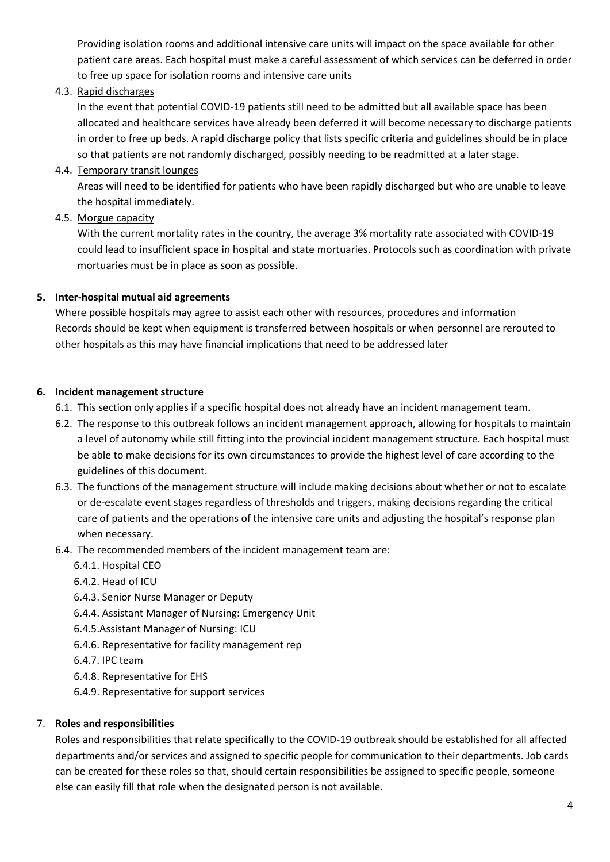Providing isolation rooms and additional intensive care units will impact on the space available for other patient care areas. Each hospital must make a careful assessment of which services can be deferred in order to free up space for isolation rooms and intensive care units

## 4.3. Rapid discharges

In the event that potential COVID-19 patients still need to be admitted but all available space has been allocated and healthcare services have already been deferred it will become necessary to discharge patients in order to free up beds. A rapid discharge policy that lists specific criteria and guidelines should be in place so that patients are not randomly discharged, possibly needing to be readmitted at a later stage.

## 4.4. Temporary transit lounges

Areas will need to be identified for patients who have been rapidly discharged but who are unable to leave the hospital immediately.

## 4.5. Morgue capacity

With the current mortality rates in the country, the average 3% mortality rate associated with COVID-19 could lead to insufficient space in hospital and state mortuaries. Protocols such as coordination with private mortuaries must be in place as soon as possible.

## **5. Inter-hospital mutual aid agreements**

Where possible hospitals may agree to assist each other with resources, procedures and information Records should be kept when equipment is transferred between hospitals or when personnel are rerouted to other hospitals as this may have financial implications that need to be addressed later

## **6. Incident management structure**

- 6.1. This section only applies if a specific hospital does not already have an incident management team.
- 6.2. The response to this outbreak follows an incident management approach, allowing for hospitals to maintain a level of autonomy while still fitting into the provincial incident management structure. Each hospital must be able to make decisions for its own circumstances to provide the highest level of care according to the guidelines of this document.
- 6.3. The functions of the management structure will include making decisions about whether or not to escalate or de-escalate event stages regardless of thresholds and triggers, making decisions regarding the critical care of patients and the operations of the intensive care units and adjusting the hospital's response plan when necessary.
- 6.4. The recommended members of the incident management team are:
	- 6.4.1. Hospital CEO
	- 6.4.2. Head of ICU
	- 6.4.3. Senior Nurse Manager or Deputy
	- 6.4.4. Assistant Manager of Nursing: Emergency Unit
	- 6.4.5.Assistant Manager of Nursing: ICU
	- 6.4.6. Representative for facility management rep
	- 6.4.7. IPC team
	- 6.4.8. Representative for EHS
	- 6.4.9. Representative for support services

## 7. **Roles and responsibilities**

Roles and responsibilities that relate specifically to the COVID-19 outbreak should be established for all affected departments and/or services and assigned to specific people for communication to their departments. Job cards can be created for these roles so that, should certain responsibilities be assigned to specific people, someone else can easily fill that role when the designated person is not available.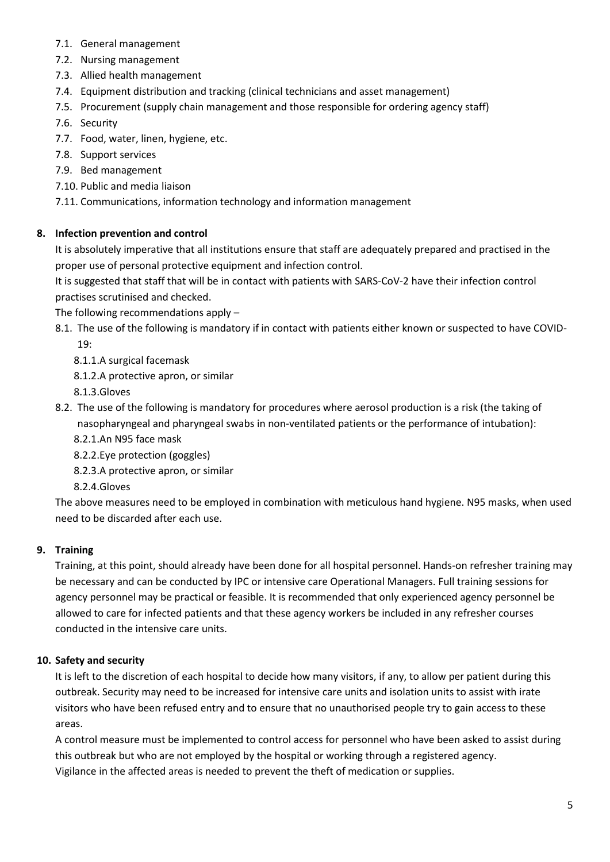- 7.1. General management
- 7.2. Nursing management
- 7.3. Allied health management
- 7.4. Equipment distribution and tracking (clinical technicians and asset management)
- 7.5. Procurement (supply chain management and those responsible for ordering agency staff)
- 7.6. Security
- 7.7. Food, water, linen, hygiene, etc.
- 7.8. Support services
- 7.9. Bed management
- 7.10. Public and media liaison

7.11. Communications, information technology and information management

# **8. Infection prevention and control**

It is absolutely imperative that all institutions ensure that staff are adequately prepared and practised in the proper use of personal protective equipment and infection control.

It is suggested that staff that will be in contact with patients with SARS-CoV-2 have their infection control practises scrutinised and checked.

The following recommendations apply –

8.1. The use of the following is mandatory if in contact with patients either known or suspected to have COVID-19:

8.1.1.A surgical facemask

8.1.2.A protective apron, or similar

8.1.3.Gloves

- 8.2. The use of the following is mandatory for procedures where aerosol production is a risk (the taking of nasopharyngeal and pharyngeal swabs in non-ventilated patients or the performance of intubation):
	- 8.2.1.An N95 face mask

8.2.2.Eye protection (goggles)

8.2.3.A protective apron, or similar

8.2.4.Gloves

The above measures need to be employed in combination with meticulous hand hygiene. N95 masks, when used need to be discarded after each use.

# **9. Training**

Training, at this point, should already have been done for all hospital personnel. Hands-on refresher training may be necessary and can be conducted by IPC or intensive care Operational Managers. Full training sessions for agency personnel may be practical or feasible. It is recommended that only experienced agency personnel be allowed to care for infected patients and that these agency workers be included in any refresher courses conducted in the intensive care units.

# **10. Safety and security**

It is left to the discretion of each hospital to decide how many visitors, if any, to allow per patient during this outbreak. Security may need to be increased for intensive care units and isolation units to assist with irate visitors who have been refused entry and to ensure that no unauthorised people try to gain access to these areas.

A control measure must be implemented to control access for personnel who have been asked to assist during this outbreak but who are not employed by the hospital or working through a registered agency. Vigilance in the affected areas is needed to prevent the theft of medication or supplies.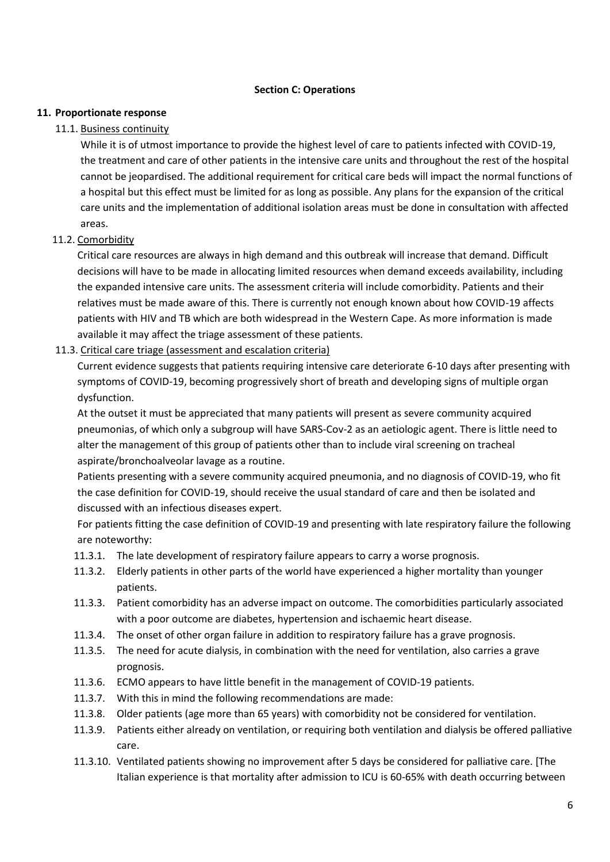### **Section C: Operations**

### **11. Proportionate response**

#### 11.1. Business continuity

While it is of utmost importance to provide the highest level of care to patients infected with COVID-19, the treatment and care of other patients in the intensive care units and throughout the rest of the hospital cannot be jeopardised. The additional requirement for critical care beds will impact the normal functions of a hospital but this effect must be limited for as long as possible. Any plans for the expansion of the critical care units and the implementation of additional isolation areas must be done in consultation with affected areas.

## 11.2. Comorbidity

Critical care resources are always in high demand and this outbreak will increase that demand. Difficult decisions will have to be made in allocating limited resources when demand exceeds availability, including the expanded intensive care units. The assessment criteria will include comorbidity. Patients and their relatives must be made aware of this. There is currently not enough known about how COVID-19 affects patients with HIV and TB which are both widespread in the Western Cape. As more information is made available it may affect the triage assessment of these patients.

## 11.3. Critical care triage (assessment and escalation criteria)

Current evidence suggests that patients requiring intensive care deteriorate 6-10 days after presenting with symptoms of COVID-19, becoming progressively short of breath and developing signs of multiple organ dysfunction.

At the outset it must be appreciated that many patients will present as severe community acquired pneumonias, of which only a subgroup will have SARS-Cov-2 as an aetiologic agent. There is little need to alter the management of this group of patients other than to include viral screening on tracheal aspirate/bronchoalveolar lavage as a routine.

Patients presenting with a severe community acquired pneumonia, and no diagnosis of COVID-19, who fit the case definition for COVID-19, should receive the usual standard of care and then be isolated and discussed with an infectious diseases expert.

For patients fitting the case definition of COVID-19 and presenting with late respiratory failure the following are noteworthy:

- 11.3.1. The late development of respiratory failure appears to carry a worse prognosis.
- 11.3.2. Elderly patients in other parts of the world have experienced a higher mortality than younger patients.
- 11.3.3. Patient comorbidity has an adverse impact on outcome. The comorbidities particularly associated with a poor outcome are diabetes, hypertension and ischaemic heart disease.
- 11.3.4. The onset of other organ failure in addition to respiratory failure has a grave prognosis.
- 11.3.5. The need for acute dialysis, in combination with the need for ventilation, also carries a grave prognosis.
- 11.3.6. ECMO appears to have little benefit in the management of COVID-19 patients.
- 11.3.7. With this in mind the following recommendations are made:
- 11.3.8. Older patients (age more than 65 years) with comorbidity not be considered for ventilation.
- 11.3.9. Patients either already on ventilation, or requiring both ventilation and dialysis be offered palliative care.
- 11.3.10. Ventilated patients showing no improvement after 5 days be considered for palliative care. [The Italian experience is that mortality after admission to ICU is 60-65% with death occurring between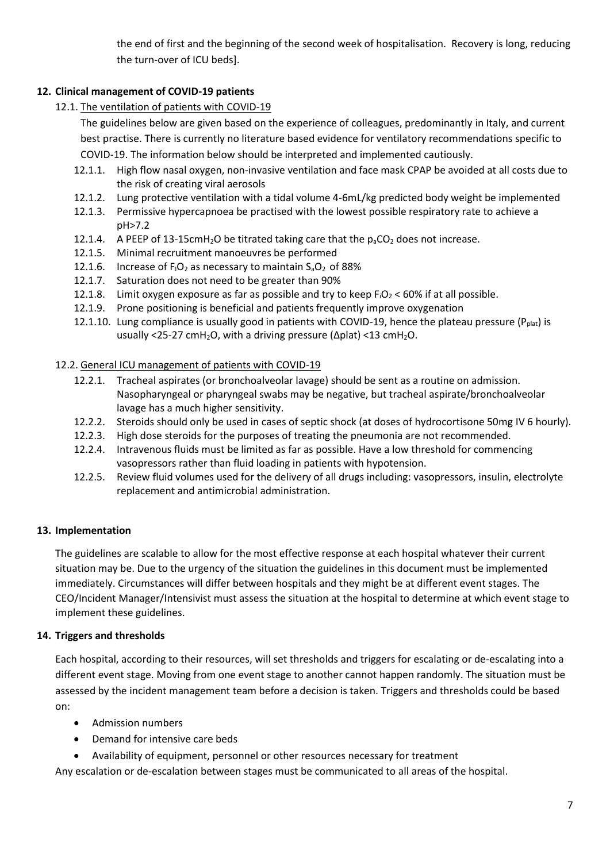the end of first and the beginning of the second week of hospitalisation. Recovery is long, reducing the turn-over of ICU beds].

# **12. Clinical management of COVID-19 patients**

12.1. The ventilation of patients with COVID-19

The guidelines below are given based on the experience of colleagues, predominantly in Italy, and current best practise. There is currently no literature based evidence for ventilatory recommendations specific to COVID-19. The information below should be interpreted and implemented cautiously.

- 12.1.1. High flow nasal oxygen, non-invasive ventilation and face mask CPAP be avoided at all costs due to the risk of creating viral aerosols
- 12.1.2. Lung protective ventilation with a tidal volume 4-6mL/kg predicted body weight be implemented
- 12.1.3. Permissive hypercapnoea be practised with the lowest possible respiratory rate to achieve a pH>7.2
- 12.1.4. A PEEP of 13-15cmH<sub>2</sub>O be titrated taking care that the  $p_aCO_2$  does not increase.
- 12.1.5. Minimal recruitment manoeuvres be performed
- 12.1.6. Increase of  $F_1O_2$  as necessary to maintain  $S_2O_2$  of 88%
- 12.1.7. Saturation does not need to be greater than 90%
- 12.1.8. Limit oxygen exposure as far as possible and try to keep  $F_1O_2 < 60\%$  if at all possible.
- 12.1.9. Prone positioning is beneficial and patients frequently improve oxygenation
- 12.1.10. Lung compliance is usually good in patients with COVID-19, hence the plateau pressure ( $P_{\text{plat}}$ ) is usually <25-27 cmH<sub>2</sub>O, with a driving pressure (Δplat) <13 cmH<sub>2</sub>O.

## 12.2. General ICU management of patients with COVID-19

- 12.2.1. Tracheal aspirates (or bronchoalveolar lavage) should be sent as a routine on admission. Nasopharyngeal or pharyngeal swabs may be negative, but tracheal aspirate/bronchoalveolar lavage has a much higher sensitivity.
- 12.2.2. Steroids should only be used in cases of septic shock (at doses of hydrocortisone 50mg IV 6 hourly).
- 12.2.3. High dose steroids for the purposes of treating the pneumonia are not recommended.
- 12.2.4. Intravenous fluids must be limited as far as possible. Have a low threshold for commencing vasopressors rather than fluid loading in patients with hypotension.
- 12.2.5. Review fluid volumes used for the delivery of all drugs including: vasopressors, insulin, electrolyte replacement and antimicrobial administration.

# **13. Implementation**

The guidelines are scalable to allow for the most effective response at each hospital whatever their current situation may be. Due to the urgency of the situation the guidelines in this document must be implemented immediately. Circumstances will differ between hospitals and they might be at different event stages. The CEO/Incident Manager/Intensivist must assess the situation at the hospital to determine at which event stage to implement these guidelines.

# **14. Triggers and thresholds**

Each hospital, according to their resources, will set thresholds and triggers for escalating or de-escalating into a different event stage. Moving from one event stage to another cannot happen randomly. The situation must be assessed by the incident management team before a decision is taken. Triggers and thresholds could be based on:

- Admission numbers
- Demand for intensive care beds
- Availability of equipment, personnel or other resources necessary for treatment

Any escalation or de-escalation between stages must be communicated to all areas of the hospital.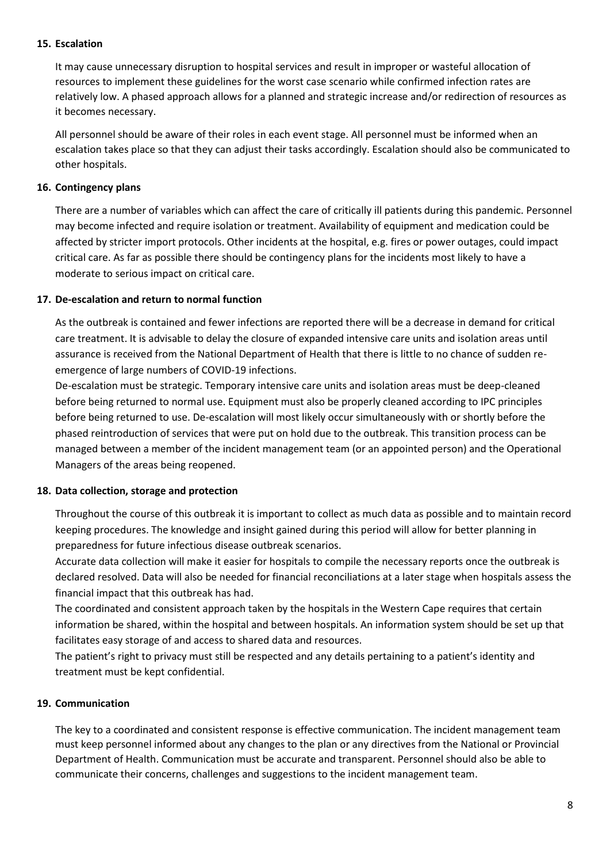#### **15. Escalation**

It may cause unnecessary disruption to hospital services and result in improper or wasteful allocation of resources to implement these guidelines for the worst case scenario while confirmed infection rates are relatively low. A phased approach allows for a planned and strategic increase and/or redirection of resources as it becomes necessary.

All personnel should be aware of their roles in each event stage. All personnel must be informed when an escalation takes place so that they can adjust their tasks accordingly. Escalation should also be communicated to other hospitals.

### **16. Contingency plans**

There are a number of variables which can affect the care of critically ill patients during this pandemic. Personnel may become infected and require isolation or treatment. Availability of equipment and medication could be affected by stricter import protocols. Other incidents at the hospital, e.g. fires or power outages, could impact critical care. As far as possible there should be contingency plans for the incidents most likely to have a moderate to serious impact on critical care.

#### **17. De-escalation and return to normal function**

As the outbreak is contained and fewer infections are reported there will be a decrease in demand for critical care treatment. It is advisable to delay the closure of expanded intensive care units and isolation areas until assurance is received from the National Department of Health that there is little to no chance of sudden reemergence of large numbers of COVID-19 infections.

De-escalation must be strategic. Temporary intensive care units and isolation areas must be deep-cleaned before being returned to normal use. Equipment must also be properly cleaned according to IPC principles before being returned to use. De-escalation will most likely occur simultaneously with or shortly before the phased reintroduction of services that were put on hold due to the outbreak. This transition process can be managed between a member of the incident management team (or an appointed person) and the Operational Managers of the areas being reopened.

#### **18. Data collection, storage and protection**

Throughout the course of this outbreak it is important to collect as much data as possible and to maintain record keeping procedures. The knowledge and insight gained during this period will allow for better planning in preparedness for future infectious disease outbreak scenarios.

Accurate data collection will make it easier for hospitals to compile the necessary reports once the outbreak is declared resolved. Data will also be needed for financial reconciliations at a later stage when hospitals assess the financial impact that this outbreak has had.

The coordinated and consistent approach taken by the hospitals in the Western Cape requires that certain information be shared, within the hospital and between hospitals. An information system should be set up that facilitates easy storage of and access to shared data and resources.

The patient's right to privacy must still be respected and any details pertaining to a patient's identity and treatment must be kept confidential.

## **19. Communication**

The key to a coordinated and consistent response is effective communication. The incident management team must keep personnel informed about any changes to the plan or any directives from the National or Provincial Department of Health. Communication must be accurate and transparent. Personnel should also be able to communicate their concerns, challenges and suggestions to the incident management team.